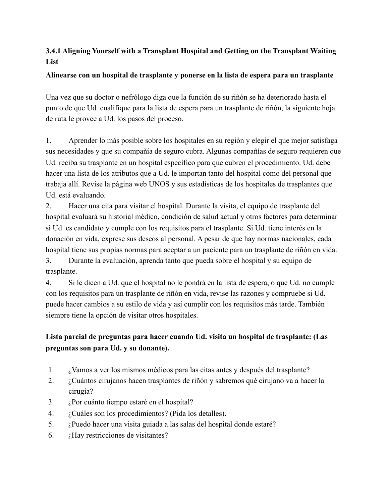### **3.4.1 Aligning Yourself with a Transplant Hospital and Getting on the Transplant Waiting List**

#### **Alinearse con un hospital de trasplante y ponerse en la lista de espera para un trasplante**

Una vez que su doctor o nefrólogo diga que la función de su riñón se ha deteriorado hasta el punto de que Ud. cualifique para la lista de espera para un trasplante de riñón, la siguiente hoja de ruta le provee a Ud. los pasos del proceso.

1. Aprender lo más posible sobre los hospitales en su región y elegir el que mejor satisfaga sus necesidades y que su compañía de seguro cubra. Algunas compañías de seguro requieren que Ud. reciba su trasplante en un hospital específico para que cubren el procedimiento. Ud. debe hacer una lista de los atributos que a Ud. le importan tanto del hospital como del personal que trabaja allí. Revise la página web UNOS y sus estadísticas de los hospitales de trasplantes que Ud. está evaluando.

2. Hacer una cita para visitar el hospital. Durante la visita, el equipo de trasplante del hospital evaluará su historial médico, condición de salud actual y otros factores para determinar si Ud. es candidato y cumple con los requisitos para el trasplante. Si Ud. tiene interés en la donación en vida, exprese sus deseos al personal. A pesar de que hay normas nacionales, cada hospital tiene sus propias normas para aceptar a un paciente para un trasplante de riñón en vida. 3. Durante la evaluación, aprenda tanto que pueda sobre el hospital y su equipo de trasplante.

4. Si le dicen a Ud. que el hospital no le pondrá en la lista de espera, o que Ud. no cumple con los requisitos para un trasplante de riñón en vida, revise las razones y compruebe si Ud. puede hacer cambios a su estilo de vida y así cumplir con los requisitos más tarde. También siempre tiene la opción de visitar otros hospitales.

## **Lista parcial de preguntas para hacer cuando Ud. visita un hospital de trasplante: (Las preguntas son para Ud. y su donante).**

- 1. ¿Vamos a ver los mismos médicos para las citas antes y después del trasplante?
- 2. ¿Cuántos cirujanos hacen trasplantes de riñón y sabremos qué cirujano va a hacer la cirugía?
- 3. ¿Por cuánto tiempo estaré en el hospital?
- 4. ¿Cuáles son los procedimientos? (Pida los detalles).
- 5. ¿Puedo hacer una visita guiada a las salas del hospital donde estaré?
- 6.  $\dot{\text{c}}$  Hay restricciones de visitantes?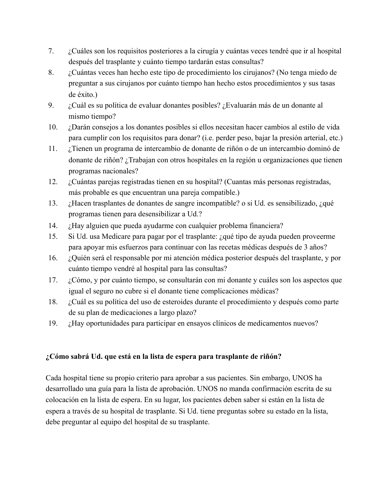- 7. ¿Cuáles son los requisitos posteriores a la cirugía y cuántas veces tendré que ir al hospital después del trasplante y cuánto tiempo tardarán estas consultas?
- 8. ¿Cuántas veces han hecho este tipo de procedimiento los cirujanos? (No tenga miedo de preguntar a sus cirujanos por cuánto tiempo han hecho estos procedimientos y sus tasas de éxito.)
- 9. ¿Cuál es su política de evaluar donantes posibles? ¿Evaluarán más de un donante al mismo tiempo?
- 10. ¿Darán consejos a los donantes posibles si ellos necesitan hacer cambios al estilo de vida para cumplir con los requisitos para donar? (i.e. perder peso, bajar la presión arterial, etc.)
- 11. ¿Tienen un programa de intercambio de donante de riñón o de un intercambio dominó de donante de riñón? ¿Trabajan con otros hospitales en la región u organizaciones que tienen programas nacionales?
- 12. ¿Cuántas parejas registradas tienen en su hospital? (Cuantas más personas registradas, más probable es que encuentran una pareja compatible.)
- 13. ¿Hacen trasplantes de donantes de sangre incompatible? o si Ud. es sensibilizado, ¿qué programas tienen para desensibilizar a Ud.?
- 14. ¿Hay alguien que pueda ayudarme con cualquier problema financiera?
- 15. Si Ud. usa Medicare para pagar por el trasplante: ¿qué tipo de ayuda pueden proveerme para apoyar mis esfuerzos para continuar con las recetas médicas después de 3 años?
- 16. ¿Quién será el responsable por mi atención médica posterior después del trasplante, y por cuánto tiempo vendré al hospital para las consultas?
- 17. ¿Cómo, y por cuánto tiempo, se consultarán con mi donante y cuáles son los aspectos que igual el seguro no cubre si el donante tiene complicaciones médicas?
- 18. ¿Cuál es su política del uso de esteroides durante el procedimiento y después como parte de su plan de medicaciones a largo plazo?
- 19. ¿Hay oportunidades para participar en ensayos clínicos de medicamentos nuevos?

#### **¿Cómo sabrá Ud. que está en la lista de espera para trasplante de riñón?**

Cada hospital tiene su propio criterio para aprobar a sus pacientes. Sin embargo, UNOS ha desarrollado una guía para la lista de aprobación. UNOS no manda confirmación escrita de su colocación en la lista de espera. En su lugar, los pacientes deben saber si están en la lista de espera a través de su hospital de trasplante. Si Ud. tiene preguntas sobre su estado en la lista, debe preguntar al equipo del hospital de su trasplante.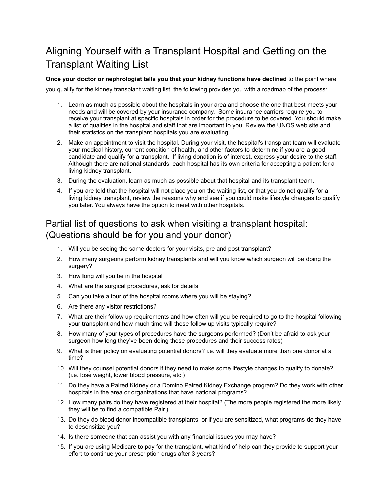# Aligning Yourself with a Transplant Hospital and Getting on the Transplant Waiting List

**Once your doctor or nephrologist tells you that your kidney functions have declined** to the point where you qualify for the kidney transplant waiting list, the following provides you with a roadmap of the process:

- 1. Learn as much as possible about the hospitals in your area and choose the one that best meets your needs and will be covered by your insurance company. Some insurance carriers require you to receive your transplant at specific hospitals in order for the procedure to be covered. You should make a list of qualities in the hospital and staff that are important to you. Review the UNOS web site and their statistics on the transplant hospitals you are evaluating.
- 2. Make an appointment to visit the hospital. During your visit, the hospital's transplant team will evaluate your medical history, current condition of health, and other factors to determine if you are a good candidate and qualify for a transplant. If living donation is of interest, express your desire to the staff. Although there are national standards, each hospital has its own criteria for accepting a patient for a living kidney transplant.
- 3. During the evaluation, learn as much as possible about that hospital and its transplant team.
- 4. If you are told that the hospital will not place you on the waiting list, or that you do not qualify for a living kidney transplant, review the reasons why and see if you could make lifestyle changes to qualify you later. You always have the option to meet with other hospitals.

## Partial list of questions to ask when visiting a transplant hospital: (Questions should be for you and your donor)

- 1. Will you be seeing the same doctors for your visits, pre and post transplant?
- 2. How many surgeons perform kidney transplants and will you know which surgeon will be doing the surgery?
- 3. How long will you be in the hospital
- 4. What are the surgical procedures, ask for details
- 5. Can you take a tour of the hospital rooms where you will be staying?
- 6. Are there any visitor restrictions?
- 7. What are their follow up requirements and how often will you be required to go to the hospital following your transplant and how much time will these follow up visits typically require?
- 8. How many of your types of procedures have the surgeons performed? (Don't be afraid to ask your surgeon how long they've been doing these procedures and their success rates)
- 9. What is their policy on evaluating potential donors? i.e. will they evaluate more than one donor at a time?
- 10. Will they counsel potential donors if they need to make some lifestyle changes to qualify to donate? (i.e. lose weight, lower blood pressure, etc.)
- 11. Do they have a Paired Kidney or a Domino Paired Kidney Exchange program? Do they work with other hospitals in the area or organizations that have national programs?
- 12. How many pairs do they have registered at their hospital? (The more people registered the more likely they will be to find a compatible Pair.)
- 13. Do they do blood donor incompatible transplants, or if you are sensitized, what programs do they have to desensitize you?
- 14. Is there someone that can assist you with any financial issues you may have?
- 15. If you are using Medicare to pay for the transplant, what kind of help can they provide to support your effort to continue your prescription drugs after 3 years?